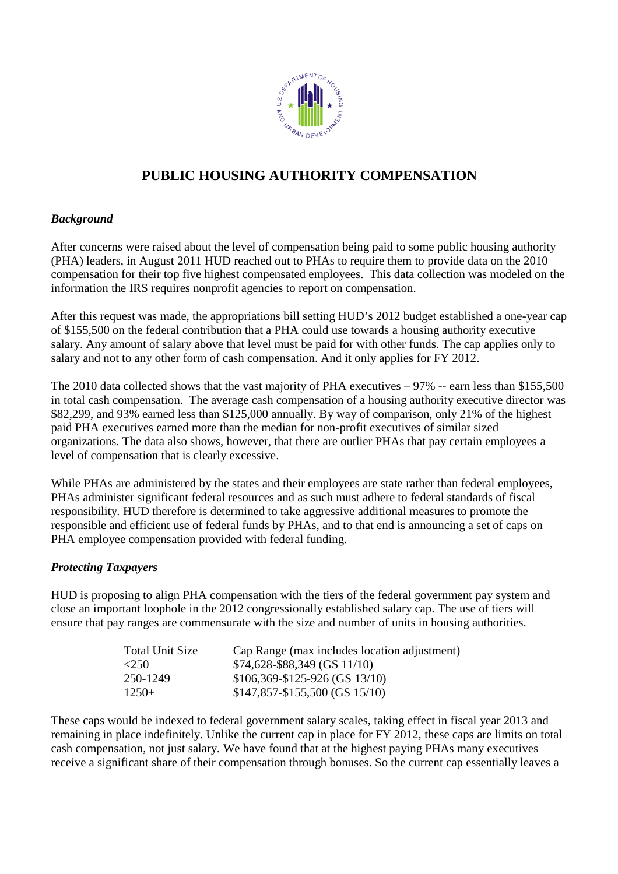

# **PUBLIC HOUSING AUTHORITY COMPENSATION AUTHORITY**

### *Background*

After concerns were raised about the level of compensation being paid to some public housing authority (PHA) leaders, in August 2011 HUD reached out to PHAs to require them to provide data on the 2010 compensation for their top five highest compensated employees. This data collection was modeled on the information the IRS requires nonprofit agencies to report on compensation. compensation for their top five highest compensated employees. This data collection was modeled on the<br>information the IRS requires nonprofit agencies to report on compensation.<br>After this request was made, the appropriati

of \$155,500 on the federal contribution that a PHA could use towards a housing authority executive salary. Any amount of salary above that level must be paid for with other funds. The cap applies only to salary and not to any other form of cash compensation. And it only applies for FY 2012.

The 2010 data collected shows that the vast majority of PHA executives  $-97\%$  -- earn less than \$155,500 in total cash compensation. The average cash compensation of a housing authority executive director was \$82,299, and 93% earned less than \$125,000 annually. By way of comparison, only 21% of the highest paid PHA executives earned more than the median for non-profit executives of similar sized organizations. The data also shows, however, that there are outlier PHAs that pay certain employees a level of compensation that is clearly excessive.

While PHAs are administered by the states and their employees are state rather than federal employees, PHAs administer significant federal resources and as such must adhere to federal standards of fiscal responsibility. HUD therefore is determined to take aggressive additional measures to promote the responsible and efficient use of federal funds by PHAs, and to that end is announcing a set of caps on PHA employee compensation provided with federal funding.

### *Protecting Taxpayers*

HUD is proposing to align PHA compensation with the tiers of the federal government pay system and close an important loophole in the 2012 congressionally established salary cap. The use of tiers will ensure that pay ranges are commensurate with the size and number of units in housing authorities.<br>Total Unit Size Cap Range (max includes location adjustment)

| Total Unit Size       | Cap Range (max includes location adjustment) |
|-----------------------|----------------------------------------------|
| $\langle 250 \rangle$ | \$74,628-\$88,349 (GS 11/10)                 |
| 250-1249              | $$106,369 - $125 - 926$ (GS 13/10)           |
| $1250+$               | $$147,857 - $155,500$ (GS 15/10)             |

These caps would be indexed to federal government salary scales, taking effect in fiscal year 2013 and remaining in place indefinitely. Unlike the current cap in place for FY 2012, these caps are limits on total cash compensation, not just salary. W We have found that at the highest paying PHAs many executives cash compensation, not just salary. We have found that at the highest paying PHAs many executives<br>receive a significant share of their compensation through bonuses. So the current cap essentially leaves a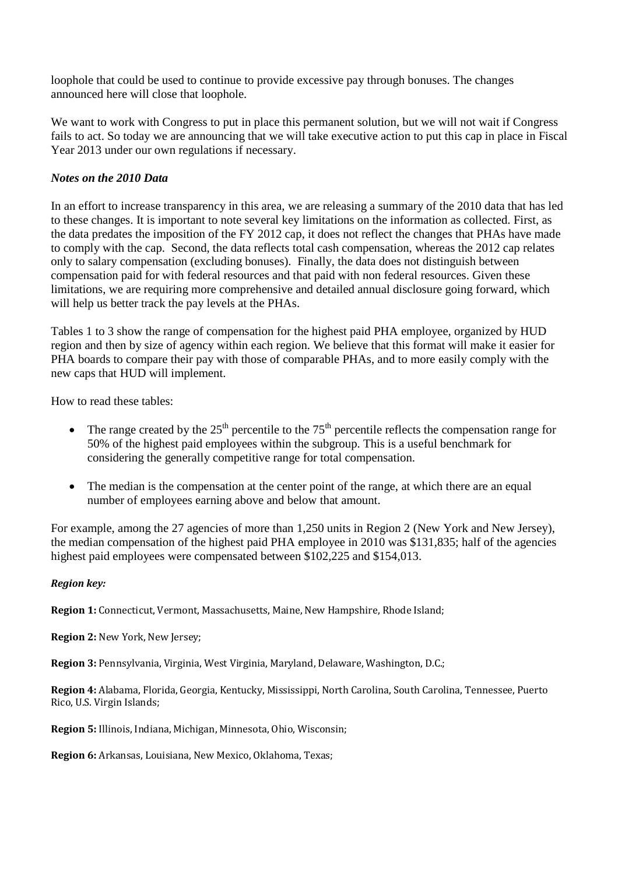loophole that could be used to continue to provide excessive pay through bonuses. The changes announced here will close that loophole.

We want to work with Congress to put in place this permanent solution, but we will not wait if Congress fails to act. So today we are announcing that we will take executive action to put this cap in place in Fiscal Year 2013 under our own regulations if necessary.

### *Notes on the 2010 Data*

In an effort to increase transparency in this area, we are releasing a summary of the 2010 data that has led to these changes. It is important to note several key limitations on the information as collected. First, as the data predates the imposition of the FY 2012 cap, it does not reflect the changes that PHAs have made to comply with the cap. Second, the data reflects total cash compensation, whereas the 2012 cap relates only to salary compensation (excluding bonuses). Finally, the data does not distinguish between compensation paid for with federal resources and that paid with non federal resources. Given these limitations, we are requiring more comprehensive and detailed annual disclosure going forward, which will help us better track the pay levels at the PHAs.

Tables 1 to 3 show the range of compensation for the highest paid PHA employee, organized by HUD region and then by size of agency within each region. We believe that this format will make it easier for PHA boards to compare their pay with those of comparable PHAs, and to more easily comply with the new caps that HUD will implement.

How to read these tables:

- The range created by the  $25<sup>th</sup>$  percentile to the  $75<sup>th</sup>$  percentile reflects the compensation range for 50% of the highest paid employees within the subgroup. This is a useful benchmark for considering the generally competitive range for total compensation.
- The median is the compensation at the center point of the range, at which there are an equal number of employees earning above and below that amount.

For example, among the 27 agencies of more than 1,250 units in Region 2 (New York and New Jersey), the median compensation of the highest paid PHA employee in 2010 was \$131,835; half of the agencies highest paid employees were compensated between \$102,225 and \$154,013.

### *Region key:*

**Region 1:** Connecticut, Vermont, Massachusetts, Maine, New Hampshire, Rhode Island;

**Region 2:** New York, New Jersey;

**Region 3:** Pennsylvania, Virginia, West Virginia, Maryland, Delaware, Washington, D.C.;

**Region 4:** Alabama, Florida, Georgia, Kentucky, Mississippi, North Carolina, South Carolina, Tennessee, Puerto Rico, U.S. Virgin Islands;

**Region 5:** Illinois, Indiana, Michigan, Minnesota, Ohio, Wisconsin;

**Region 6:** Arkansas, Louisiana, New Mexico, Oklahoma, Texas;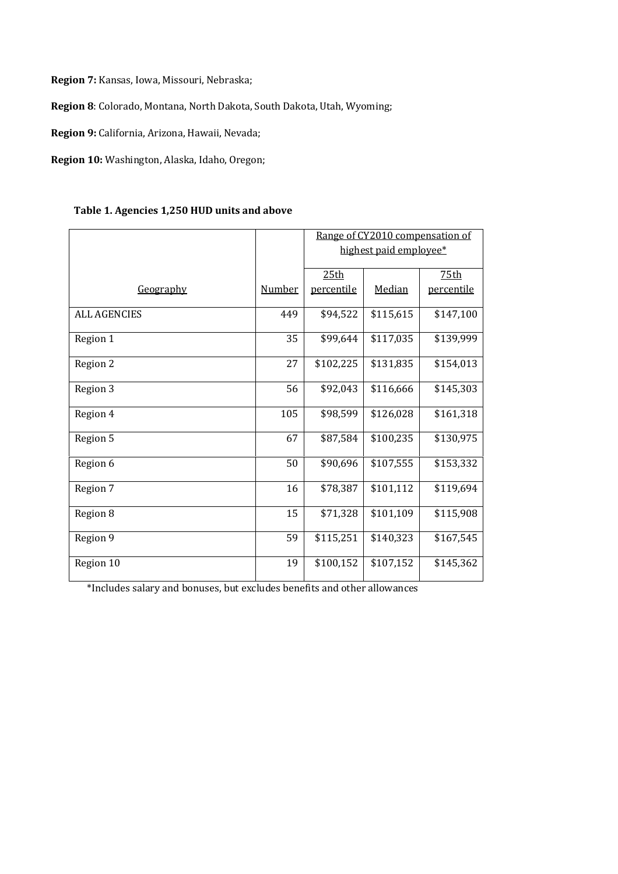**Region 7:** Kansas, Iowa, Missouri, Nebraska;

**Region 8**: Colorado, Montana, North Dakota, South Dakota, Utah, Wyoming;

**Region 9:** California, Arizona, Hawaii, Nevada;

**Region 10:** Washington, Alaska, Idaho, Oregon;

|                     |                        |            | Range of CY2010 compensation of |                  |
|---------------------|------------------------|------------|---------------------------------|------------------|
|                     | highest paid employee* |            |                                 |                  |
|                     |                        | 25th       |                                 | 75 <sub>th</sub> |
|                     |                        |            |                                 |                  |
| Geography           | <b>Number</b>          | percentile | Median                          | percentile       |
| <b>ALL AGENCIES</b> | 449                    | \$94,522   | \$115,615                       | \$147,100        |
| Region 1            | 35                     | \$99,644   | \$117,035                       | \$139,999        |
| Region 2            | 27                     | \$102,225  | \$131,835                       | \$154,013        |
| Region 3            | 56                     | \$92,043   | \$116,666                       | \$145,303        |
| Region 4            | 105                    | \$98,599   | \$126,028                       | \$161,318        |
| Region 5            | 67                     | \$87,584   | \$100,235                       | \$130,975        |
| Region 6            | 50                     | \$90,696   | \$107,555                       | \$153,332        |
| Region 7            | 16                     | \$78,387   | \$101,112                       | \$119,694        |
| Region 8            | 15                     | \$71,328   | \$101,109                       | \$115,908        |
| Region 9            | 59                     | \$115,251  | \$140,323                       | \$167,545        |
| Region 10           | 19                     | \$100,152  | \$107,152                       | \$145,362        |

\*Includes salary and bonuses, but excludes benefits and other allowances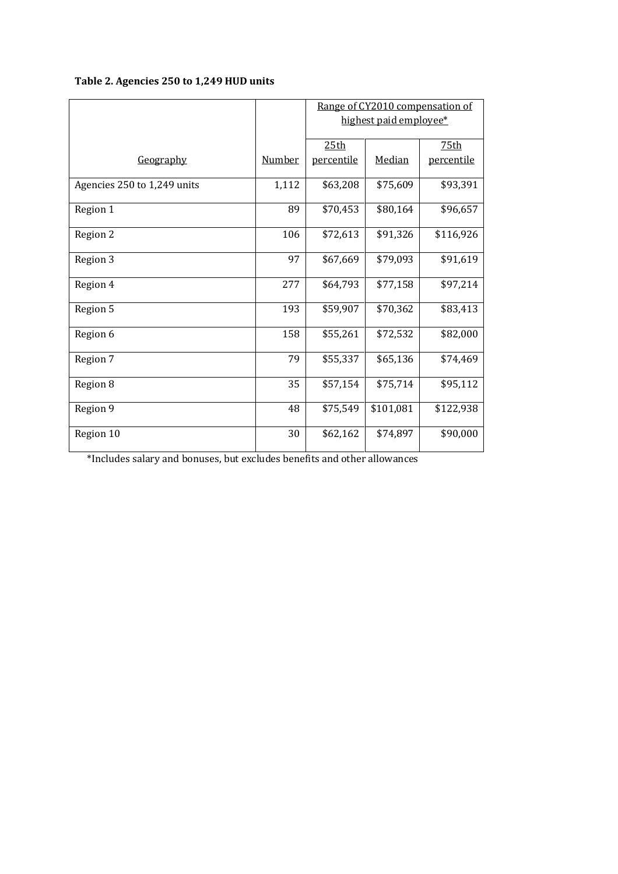# **Table 2. Agencies 250 to 1,249 HUD units**

|                             |        | Range of CY2010 compensation of<br>highest paid employee* |           |            |
|-----------------------------|--------|-----------------------------------------------------------|-----------|------------|
|                             |        |                                                           |           |            |
|                             |        | 25th                                                      |           | 75th       |
| Geography                   | Number | percentile                                                | Median    | percentile |
| Agencies 250 to 1,249 units | 1,112  | \$63,208                                                  | \$75,609  | \$93,391   |
| Region 1                    | 89     | \$70,453                                                  | \$80,164  | \$96,657   |
| Region 2                    | 106    | \$72,613                                                  | \$91,326  | \$116,926  |
| Region 3                    | 97     | \$67,669                                                  | \$79,093  | \$91,619   |
| Region 4                    | 277    | \$64,793                                                  | \$77,158  | \$97,214   |
| Region 5                    | 193    | \$59,907                                                  | \$70,362  | \$83,413   |
| Region 6                    | 158    | \$55,261                                                  | \$72,532  | \$82,000   |
| Region 7                    | 79     | \$55,337                                                  | \$65,136  | \$74,469   |
| Region 8                    | 35     | \$57,154                                                  | \$75,714  | \$95,112   |
| Region 9                    | 48     | \$75,549                                                  | \$101,081 | \$122,938  |
| Region 10                   | 30     | \$62,162                                                  | \$74,897  | \$90,000   |

\*Includes salary and bonuses, but excludes benefits and other allowances